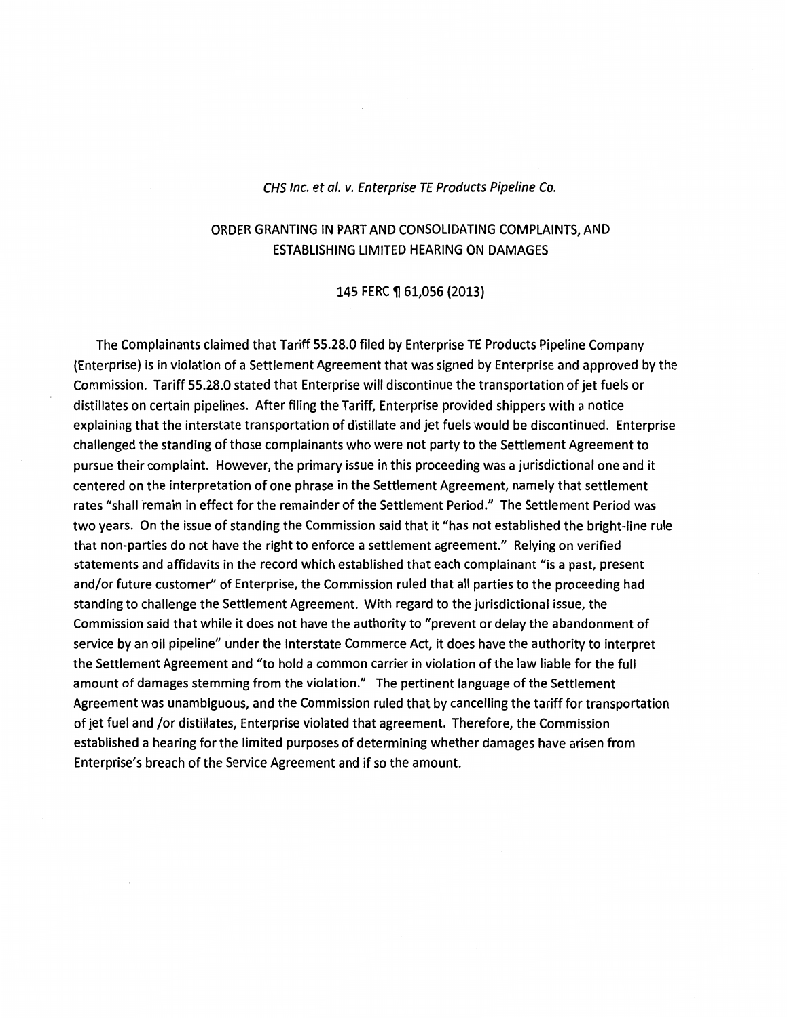#### CHS Inc. et a/. v. Enterprise TE Products Pipeline Co.

### ORDER GRANTING IN PART AND CONSOLIDATING COMPLAINTS, AND ESTABLISHING LIMITED HEARING ON DAMAGES

145 FERC ¶ 61,056 (2013)

The Complainants claimed that Tariff 55.28.0 filed by Enterprise TE Products Pipeline Company {Enterprise) is in violation of a Settlement Agreement that was signed by Enterprise and approved by the Commission. Tariff 55.28.0 stated that Enterprise will discontinue the transportation of jet fuels or distillates on certain pipelines. After filing the Tariff, Enterprise provided shippers with a notice explaining that the interstate transportation of distillate and jet fuels would be discontinued. Enterprise challenged the standing of those complainants who were not party to the Settlement Agreement to pursue their complaint. However, the primary issue in this proceeding was a jurisdictional one and it centered on the interpretation of one phrase in the Settlement Agreement, namely that settlement rates "shall remain in effect for the remainder of the Settlement Period." The Settlement Period was two years. On the issue of standing the Commission said that it "has not established the bright-line rule that non-parties do not have the right to enforce a settlement agreement." Relying on verified statements and affidavits in the record which established that each complainant "is a *past,* present and/or future customer" of Enterprise, the Commission ruled that all parties to the proceeding had standing to challenge the Settlement Agreement. With regard to the jurisdictional issue, the Commission said that while it does not have the authority to "prevent or delay the abandonment of service by an oil pipeline" under the Interstate Commerce Act, it does have the authority to interpret the Settlement Agreement and "to hold a common carrier in violation of the law liable for the full amount of damages stemming from the violation." The pertinent language of the Settlement Agreement was unambiguous, and the Commission ruled that by cancelling the tariff for transportation of jet fuel and /or distillates, Enterprise violated that agreement. Therefore, the Commission established a hearing for the limited purposes of determining whether damages have arisen from Enterprise's breach of the Service Agreement and if so the amount.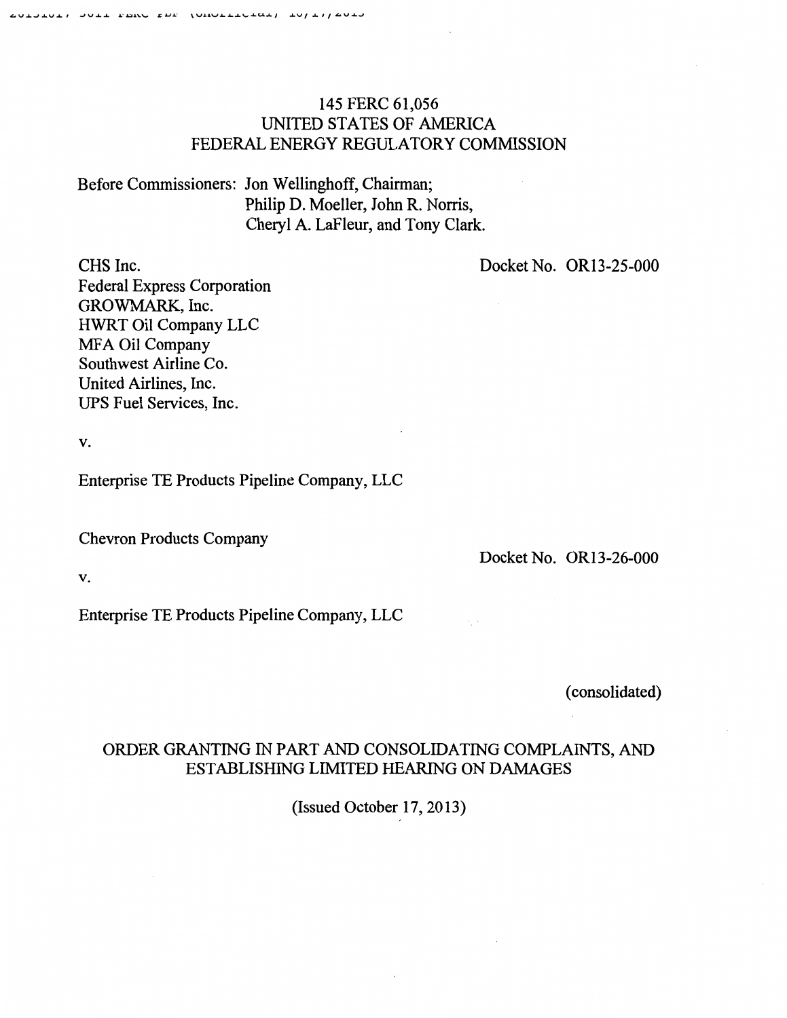# 145 FERC 61,056 UNITED STATES OF AMERICA FEDERAL ENERGY REGULATORY COMMISSION

Before Commissioners: Jon Wellinghoff, Chairman; Philip D. Moeller, John R. Norris, Cheryl A. LaFleur, and Tony Clark.

Docket No. OR13-25-000

CHS Inc. Federal Express Corporation GROWMARK, Inc. HWRT Oil Company LLC MFA Oil Company Southwest Airline Co. United Airlines, Inc. UPS Fuel Services, Inc.

v.

Enterprise TE Products Pipeline Company, LLC

Chevron Products Company

Docket No. OR13-26-000

v.

Enterprise TE Products Pipeline Company, LLC

(consolidated)

# ORDER GRANTING IN PART AND CONSOLIDATING COMPLAINTS, AND ESTABLISHING LIMITED HEARING ON DAMAGES

(Issued October 17, 20 13)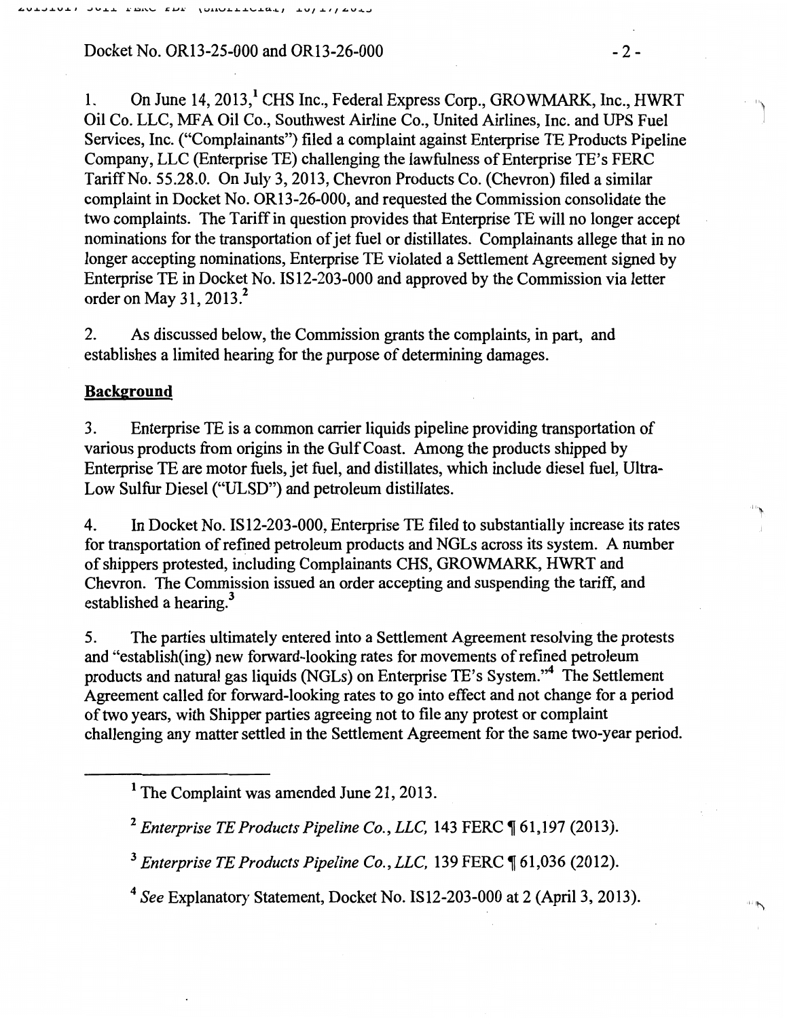Docket No. OR13-25-000 and OR13-26-000 -2-

1. On June 14, 2013,<sup>1</sup> CHS Inc., Federal Express Corp., GROWMARK, Inc., HWRT Oil Co. LLC, MFA Oil Co., Southwest Airline Co., United Airlines, Inc. and UPS Fuel Services, Inc. ("Complainants") filed a complaint against Enterprise TE Products Pipeline Company, LLC (Enterprise TE) challenging the lawfulness of Enterprise TE's PERC Tariff No. 55.28.0. On July 3, 2013, Chevron Products Co. (Chevron) filed a similar complaint in Docket No. OR13-26-000, and requested the Commission consolidate the two complaints. The Tariff in question provides that Enterprise TE will no longer accept nominations for the transportation of jet fuel or distillates. Complainants allege that in no longer accepting nominations, Enterprise TE violated a Settlement Agreement signed by Enterprise TE in Docket No. IS12-203-000 and approved by the Commission via letter order on May 31,  $2013<sup>2</sup>$ 

2. As discussed below, the Commission grants the complaints, in part, and establishes a limited hearing for the purpose of determining damages.

### **Background**

3. Enterprise TE is a common carrier liquids pipeline providing transportation of various products from origins in the Gulf Coast. Among the products shipped by Enterprise TE are motor fuels, jet fuel, and distillates, which include diesel fuel, Ultra-Low Sulfur Diesel ("ULSD") and petroleum distillates.

4. In Docket No. IS 12-203-000, Enterprise TE filed to substantially increase its rates for transportation of refmed petroleum products and NGLs across its system. A number of shippers protested, including Complainants CHS, GROWMARK, HWRT and Chevron. The Commission issued an order accepting and suspending the tariff, and established a hearing. $3$ 

5. The parties ultimately entered into a Settlement Agreement resolving the protests and "establish(ing) new forward-looking rates for movements of refined petroleum products and natural gas liquids (NGLs) on Enterprise TE's System."<sup>4</sup>The Settlement Agreement called for forward-looking rates to go into effect and not change for a period of two years, with Shipper parties agreeing not to file any protest or complaint challenging any matter settled in the Settlement Agreement for the same two-year period.

<sup>3</sup> Enterprise TE Products Pipeline Co., LLC, 139 FERC ¶ 61,036 (2012).

<sup>4</sup>*See* Explanatory Statement, Docket No. IS12-203-000 at 2 (April3, 2013).

''j

I··~

 $\sim$ 

<sup>&</sup>lt;sup>1</sup> The Complaint was amended June 21, 2013.

<sup>&</sup>lt;sup>2</sup> Enterprise TE Products Pipeline Co., LLC, 143 FERC ¶ 61,197 (2013).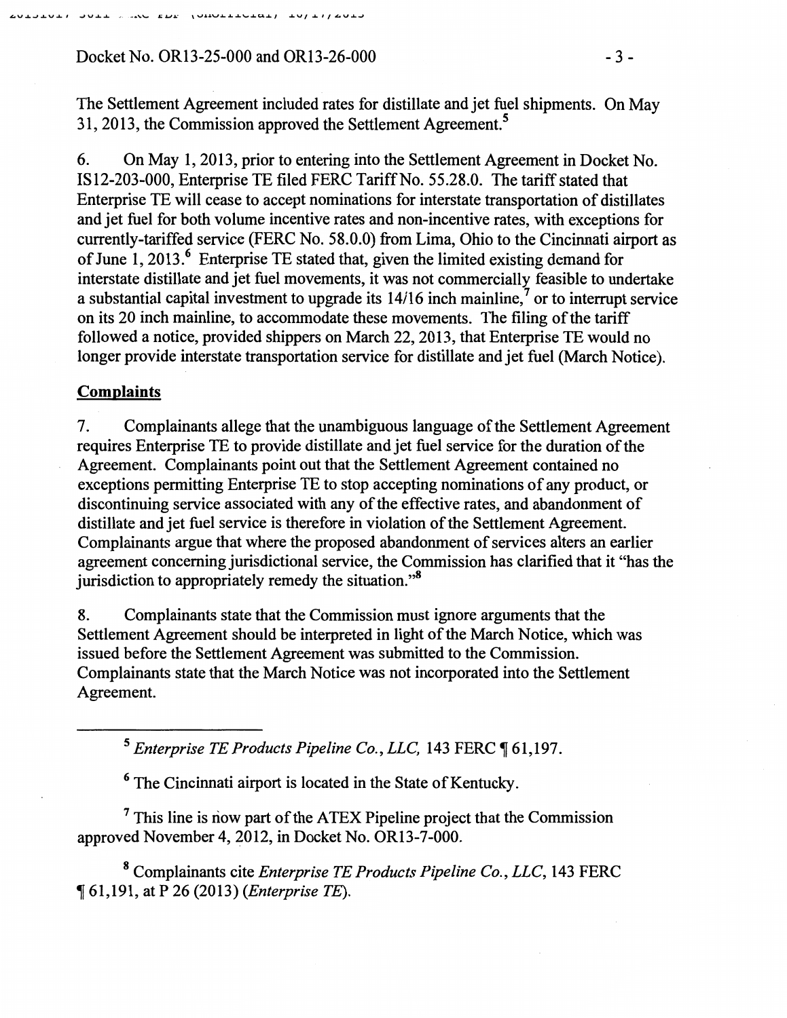# Docket No. OR13-25-000 and OR13-26-000 -3-

The Settlement Agreement included rates for distillate and jet fuel shipments. On May 31, 2013, the Commission approved the Settlement Agreement.<sup>5</sup>

6. On May I, 2013, prior to entering into the Settlement Agreement in Docket No. IS I2-203-000, Enterprise TE filed FERC Tariff No. 55.28.0. The tariff stated that Enterprise TE will cease to accept nominations for interstate transportation of distillates and jet fuel for both volume incentive rates and non-incentive rates, with exceptions for currently-tariffed service (FERC No. 58.0.0) from Lima, Ohio to the Cincinnati airport as of June 1, 2013.<sup>6</sup> Enterprise TE stated that, given the limited existing demand for interstate distillate and jet fuel movements, it was not commercially feasible to undertake a substantial capital investment to upgrade its  $14/16$  inch mainline,<sup>7</sup> or to interrupt service on its 20 inch mainline, to accommodate these movements. The filing of the tariff followed a notice, provided shippers on March 22,2013, that Enterprise TE would no longer provide interstate transportation service for distillate and jet fuel (March Notice).

### **Complaints**

7. Complainants allege that the unambiguous language of the Settlement Agreement requires Enterprise TE to provide distillate and jet fuel service for the duration of the Agreement. Complainants point out that the Settlement Agreement contained no exceptions permitting Enterprise TE to stop accepting nominations of any product, or discontinuing service associated with any of the effective rates, and abandonment of distillate and jet fuel service is therefore in violation of the Settlement Agreement. Complainants argue that where the proposed abandonment of services alters an earlier agreement concerning jurisdictional service, the Commission has clarified that it "has the jurisdiction to appropriately remedy the situation."<sup>8</sup>

8. Complainants state that the Commission must ignore arguments that the Settlement Agreement should be interpreted in light of the March Notice, which was issued before the Settlement Agreement was submitted to the Commission. Complainants state that the March Notice was not incorporated into the Settlement Agreement.

<sup>5</sup> Enterprise TE Products Pipeline Co., LLC, 143 FERC  $\P$  61,197.

<sup>6</sup> The Cincinnati airport is located in the State of Kentucky.

<sup>7</sup> This line is now part of the ATEX Pipeline project that the Commission approved November 4, 2012, in Docket No. OR13-7-000.

8 Complainants cite *Enterprise TE Products Pipeline Co., LLC,* 143 FERC ~ 61,191, at P 26 (2013) *(Enterprise TE).*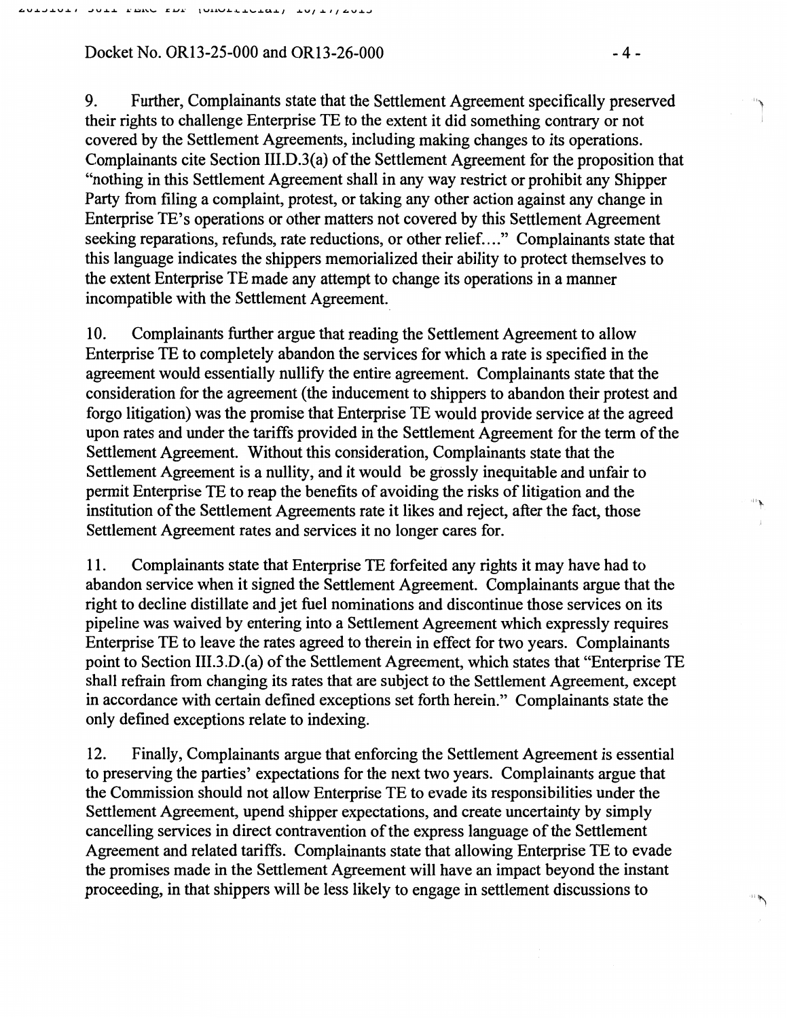Docket No. OR13-25-000 and OR13-26-000 -4-

9. Further, Complainants state that the Settlement Agreement specifically preserved their rights to challenge Enterprise TE to the extent it did something contrary or not covered by the Settlement Agreements, including making changes to its operations. Complainants cite Section III.D.3(a) of the Settlement Agreement for the proposition that "nothing in this Settlement Agreement shall in any way restrict or prohibit any Shipper Party from filing a complaint, protest, or taking any other action against any change in Enterprise TE's operations or other matters not covered by this Settlement Agreement seeking reparations, refunds, rate reductions, or other relief...." Complainants state that this language indicates the shippers memorialized their ability to protect themselves to the extent Enterprise TE made any attempt to change its operations in a manner incompatible with the Settlement Agreement.

10. Complainants further argue that reading the Settlement Agreement to allow Enterprise TE to completely abandon the services for which a rate is specified in the agreement would essentially nullify the entire agreement. Complainants state that the consideration for the agreement (the inducement to shippers to abandon their protest and forgo litigation) was the promise that Enterprise TE would provide service at the agreed upon rates and under the tariffs provided in the Settlement Agreement for the term of the Settlement Agreement. Without this consideration, Complainants state that the Settlement Agreement is a nullity, and it would be grossly inequitable and unfair to permit Enterprise TE to reap the benefits of avoiding the risks of litigation and the institution of the Settlement Agreements rate it likes and reject, after the fact, those Settlement Agreement rates and services it no longer cares for.

11. Complainants state that Enterprise TE forfeited any rights it may have had to abandon service when it signed the Settlement Agreement. Complainants argue that the right to decline distillate and jet fuel nominations and discontinue those services on its pipeline was waived by entering into a Settlement Agreement which expressly requires Enterprise TE to leave the rates agreed to therein in effect for two years. Complainants point to Section III.3.D.(a) of the Settlement Agreement, which states that "Enterprise TE shall refrain from changing its rates that are subject to the Settlement Agreement, except in accordance with certain defined exceptions set forth herein." Complainants state the only defined exceptions relate to indexing.

12. Finally, Complainants argue that enforcing the Settlement Agreement is essential to preserving the parties' expectations for the next two years. Complainants argue that the Commission should not allow Enterprise TE to evade its responsibilities under the Settlement Agreement, upend shipper expectations, and create uncertainty by simply cancelling services in direct contravention of the express language of the Settlement Agreement and related tariffs. Complainants state that allowing Enterprise TE to evade the promises made in the Settlement Agreement will have an impact beyond the instant proceeding, in that shippers will be less likely to engage in settlement discussions to

,,~ I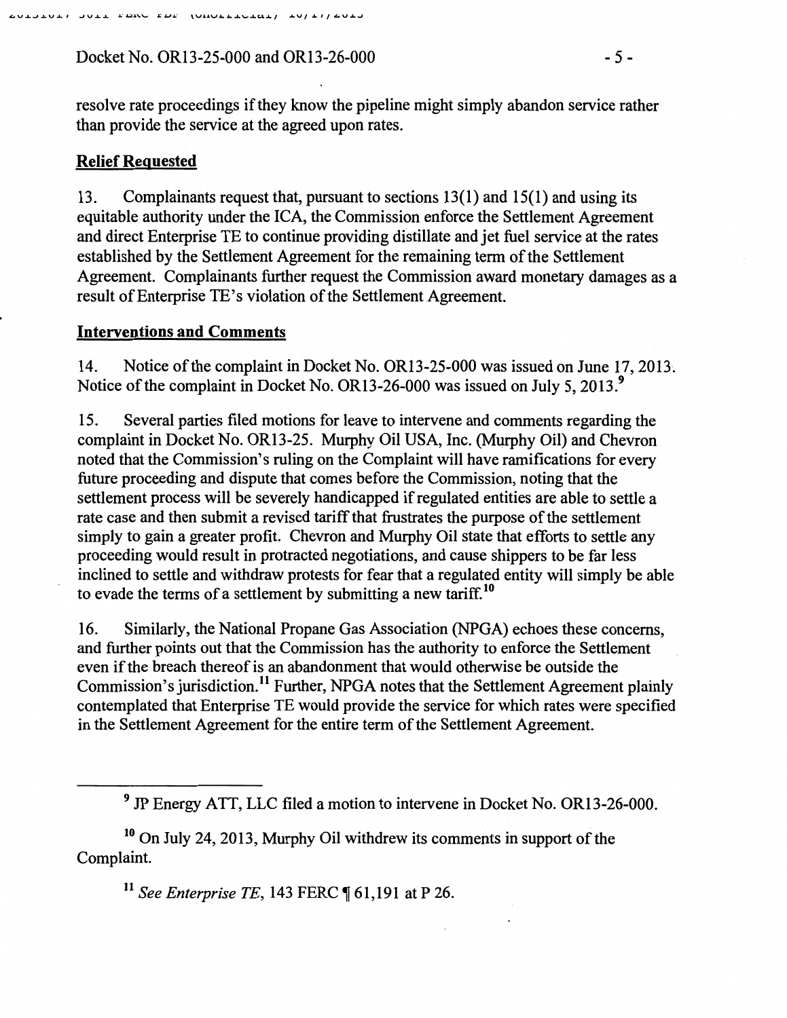Docket No. OR13-25-000 and OR13-26-000 - 5 -

### **Relief Requested**

13. Complainants request that, pursuant to sections 13(1) and 15(1) and using its equitable authority under the ICA, the Commission enforce the Settlement Agreement and direct Enterprise TE to continue providing distillate and jet fuel service at the rates established by the Settlement Agreement for the remaining term of the Settlement Agreement. Complainants further request the Commission award monetary damages as a result of Enterprise TE's violation of the Settlement Agreement.

#### **Interventions and Comments**

14. Notice of the complaint in Docket No. OR13-25-000 was issued on June 17, 2013~ Notice of the complaint in Docket No. OR13-26-000 was issued on July 5, 2013.<sup>9</sup>

15. Several parties filed motions for leave to intervene and comments regarding the complaint in Docket No. OR13-25. Murphy Oil USA, Inc. (Murphy Oil) and Chevron noted that the Commission's ruling on the Complaint will have ramifications for every future proceeding and dispute that comes before the Commission, noting that the settlement process will be severely handicapped if regulated entities are able to settle a rate case and then submit a revised tariff that frustrates the purpose of the settlement simply to gain a greater profit. Chevron and Murphy Oil state that efforts to settle any proceeding would result in protracted negotiations, and cause shippers to be far less inclined to settle and withdraw protests for fear that a regulated entity will simply be able to evade the terms of a settlement by submitting a new tariff.<sup>10</sup>

16. Similarly, the National Propane Gas Association (NPGA) echoes these concerns, and further points out that the Commission has the authority to enforce the Settlement even if the breach thereof is an abandonment that would otherwise be outside the Commission's jurisdiction.<sup>11</sup> Further, NPGA notes that the Settlement Agreement plainly contemplated that Enterprise TE would provide the service for which rates were specified in the Settlement Agreement for the entire term of the Settlement Agreement.

10 On July 24,2013, Murphy Oil withdrew its comments in support of the Complaint.

<sup>11</sup> See Enterprise TE, 143 FERC ¶ 61,191 at P 26.

<sup>&</sup>lt;sup>9</sup> JP Energy ATT, LLC filed a motion to intervene in Docket No. OR13-26-000.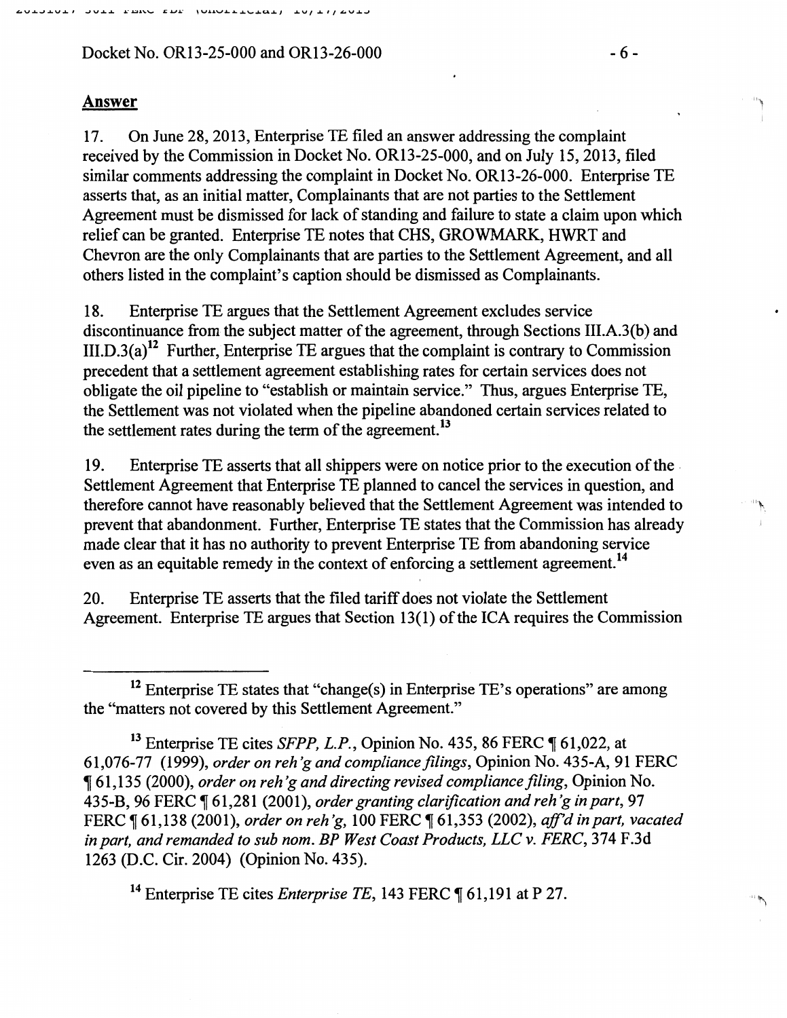Docket No. OR13-25-000 and OR13-26-000  $-6$ -

#### Answer

17. On June 28, 2013, Enterprise 1E filed an answer addressing the complaint received by the Commission in Docket No. OR13-25-000, and on July 15,2013, filed similar comments addressing the complaint in Docket No. OR13-26-000. Enterprise TE asserts that, as an initial matter, Complainants that are not parties to the Settlement Agreement must be dismissed for lack of standing and failure to state a claim upon which relief can be granted. Enterprise TE notes that CHS, GROWMARK, HWRT and Chevron are the only Complainants that are parties to the Settlement Agreement, and all others listed in the complaint's caption should be dismissed as Complainants.

18. Enterprise TE argues that the Settlement Agreement excludes service discontinuance from the subject matter of the agreement, through Sections III.A.3(b) and III.D.3(a)<sup>12</sup> Further, Enterprise TE argues that the complaint is contrary to Commission precedent that a settlement agreement establishing rates for certain services does not obligate the oil pipeline to "establish or maintain service." Thus, argues Enterprise 1E, the Settlement was not violated when the pipeline abandoned certain services related to the settlement rates during the term of the agreement.<sup>13</sup>

19. Enterprise TE asserts that all shippers were on notice prior to the execution of the. Settlement Agreement that Enterprise TE planned to cancel the services in question, and therefore cannot have reasonably believed that the Settlement Agreement was intended to prevent that abandonment. Further, Enterprise TE states that the Commission has already made clear that it has no authority to prevent Enterprise 1E from abandoning service even as an equitable remedy in the context of enforcing a settlement agreement.<sup>14</sup>

20. Enterprise TE asserts that the filed tariff does not violate the Settlement Agreement. Enterprise 1E argues that Section 13(1) of the ICA requires the Commission

<sup>14</sup> Enterprise TE cites *Enterprise TE*, 143 FERC ¶ 61,191 at P 27.

<sup>&</sup>lt;sup>12</sup> Enterprise TE states that "change(s) in Enterprise TE's operations" are among the "matters not covered by this Settlement Agreement."

<sup>&</sup>lt;sup>13</sup> Enterprise TE cites *SFPP, L.P.*, Opinion No. 435, 86 FERC ¶ 61,022, at 61,076-77 (1999), *order on reh'g and compliance filings,* Opinion No. 435-A, 91 FERC , 61,135 (2000), *order on reh'g and directing revised compliance filing,* Opinion No. 435-B, 96 FERC, 61,281 (2001), *order granting clarification and reh 'gin part,* 97 FERC ¶ 61,138 (2001), *order on reh'g*, 100 FERC ¶ 61,353 (2002), *aff'd in part, vacated in part, and remanded to sub nom. BP West Coast Products, LLC v. FERC,* 374 F .3d 1263 (D.C. Cir. 2004) (Opinion No. 435).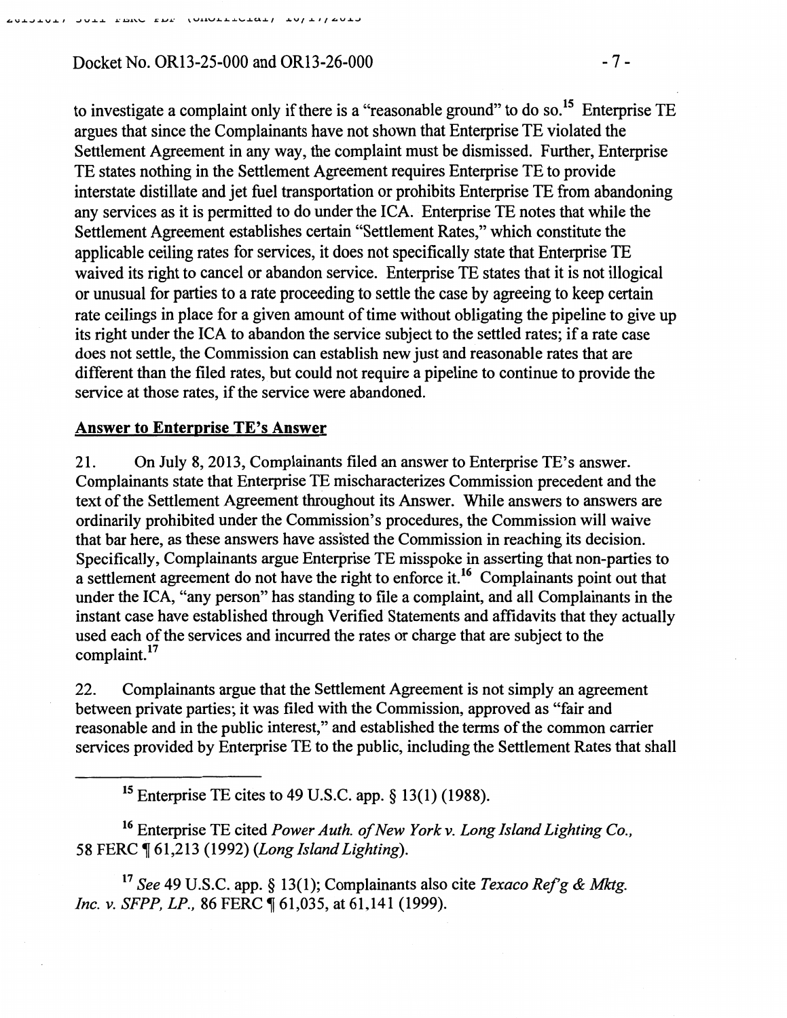JOIT EDM EDE (OUGLEFOTOT) TALTILOOT

to investigate a complaint only if there is a "reasonable ground" to do so.<sup>15</sup> Enterprise TE argues that since the Complainants have not shown that Enterprise TE violated the Settlement Agreement in any way, the complaint must be dismissed. Further, Enterprise TE states nothing in the Settlement Agreement requires Enterprise TE to provide interstate distillate and jet fuel transportation or prohibits Enterprise TE from abandoning any services as it is permitted to do under the ICA. Enterprise TE notes that while the Settlement Agreement establishes certain "Settlement Rates," which constitute the applicable ceiling rates for services, it does not specifically state that Enterprise TE waived its right to cancel or abandon service. Enterprise TE states that it is not illogical or unusual for parties to a rate proceeding to settle the case by agreeing to keep certain rate ceilings in place for a given amount of time without obligating the pipeline to give up its right under the ICA to abandon the service subject to the settled rates; if a rate case does not settle, the Commission can establish new just and reasonable rates that are different than the filed rates, but could not require a pipeline to continue to provide the service at those rates, if the service were abandoned.

# Answer to Enterprise TE's Answer

21. On July 8, 2013, Complainants filed an answer to Enterprise TE's answer. Complainants state that Enterprise TE mischaracterizes Commission precedent and the text of the Settlement Agreement throughout its Answer. While answers to answers are ordinarily prohibited under the Commission's procedures, the Commission will waive that bar here, as these answers have assisted the Commission in reaching its decision. Specifically, Complainants argue Enterprise TE misspoke in asserting that non-parties to a settlement agreement do not have the right to enforce it.<sup>16</sup> Complainants point out that under the ICA, "any person" has standing to file a complaint, and all Complainants in the instant case have established through Verified Statements and affidavits that they actually used each of the services and incurred the rates or charge that are subject to the complaint.<sup>17</sup>

22. Complainants argue that the Settlement Agreement is not simply an agreement between private parties; it was filed with the Commission, approved as "fair and reasonable and in the public interest," and established the terms of the common carrier services provided by Enterprise TE to the public, including the Settlement Rates that shall

15 Enterprise TE cites to 49 U.S.C. app. § 13(1) (1988).

<sup>16</sup> Enterprise TE cited *Power Auth. of New York v. Long Island Lighting Co.*, 58 FERC ~ 61,213 (1992) *(Long Island Lighting).* 

<sup>17</sup>*See* 49 U.S.C. app. § 13(1); Complainants also cite *Texaco Ref'g* & *Mktg. Inc. v. SFPP, LP., 86 FERC*  $\sqrt{61,035}$ , at 61, 141 (1999).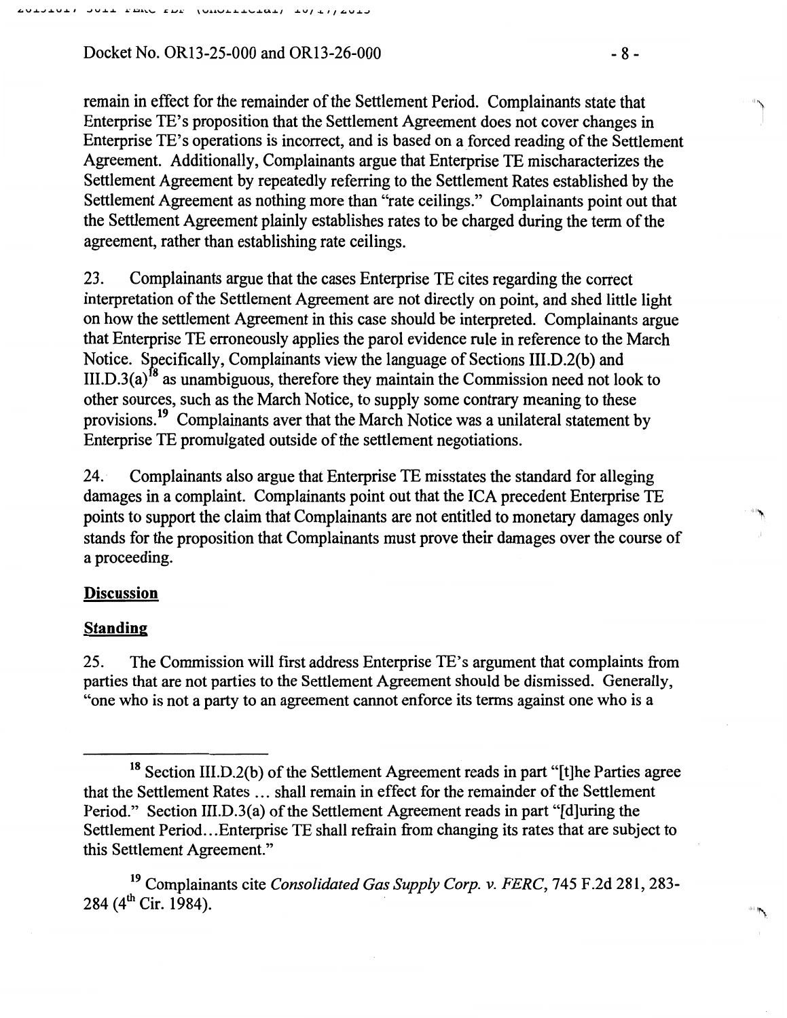Docket No. OR13-25-000 and OR13-26-000 - 8 - 8 -

remain in effect for the remainder of the Settlement Period. Complainants state that Enterprise TE's proposition that the Settlement Agreement does not cover changes in Enterprise TE's operations is incorrect, and is based on a forced reading of the Settlement Agreement. Additionally, Complainants argue that Enterprise TE mischaracterizes the Settlement Agreement by repeatedly referring to the Settlement Rates established by the Settlement Agreement as nothing more than "rate ceilings." Complainants point out that the Settlement Agreement plainly establishes rates to be charged during the term of the agreement, rather than establishing rate ceilings.

23. Complainants argue that the cases Enterprise TE cites regarding the correct interpretation of the Settlement Agreement are not directly on point, and shed little light on how the settlement Agreement in this case should be interpreted. Complainants argue that Enterprise TE erroneously applies the parol evidence rule in reference to the March Notice. Specifically, Complainants view the language of Sections III.D.2(b) and III.D.3(a)<sup>18</sup> as unambiguous, therefore they maintain the Commission need not look to other sources, such as the March Notice, to supply some contrary meaning to these provisions.19 Complainants aver that the March Notice was a unilateral statement by Enterprise TE promulgated outside of the settlement negotiations.

24. Complainants also argue that Enterprise TE misstates the standard for alleging damages in a complaint. Complainants point out that the ICA precedent Enterprise TE points to support the claim that Complainants are not entitled to monetary damages only stands for the proposition that Complainants must prove their damages over the course of a proceeding.

# **Discussion**

# **Standing**

25. The Commission will first address Enterprise TE's argument that complaints from parties that are not parties to the Settlement Agreement should be dismissed. Generally, "one who is not a party to an agreement cannot enforce its terms against one who is a

"\.

,, '1\

<sup>18</sup> Section III.D.2(b) of the Settlement Agreement reads in part "[t]he Parties agree that the Settlement Rates ... shall remain in effect for the remainder of the Settlement Period." Section III.D.3(a) of the Settlement Agreement reads in part "[d]uring the Settlement Period... Enterprise TE shall refrain from changing its rates that are subject to this Settlement Agreement."

<sup>19</sup> Complainants cite *Consolidated Gas Supply Corp.* v. *FERC, 145* F.2d 281,283- 284 ( $4^{\text{th}}$  Cir. 1984).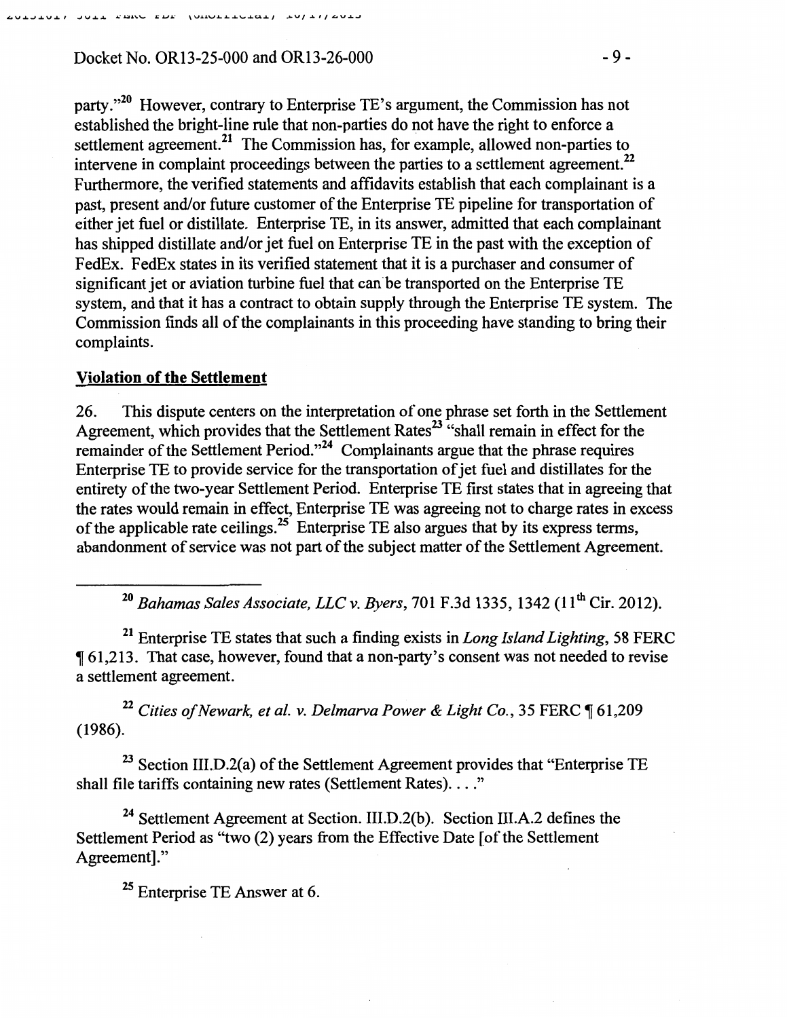# Docket No. OR13-25-000 and OR13-26-000 -9-

party."<sup>20</sup> However, contrary to Enterprise TE's argument, the Commission has not established the bright-line rule that non-parties do not have the right to enforce a settlement agreement.<sup>21</sup> The Commission has, for example, allowed non-parties to intervene in complaint proceedings between the parties to a settlement agreement.<sup>22</sup> Furthermore, the verified statements and affidavits establish that each complainant is a past, present and/or future customer of the Enterprise TE pipeline for transportation of either jet fuel or distillate. Enterprise TE, in its answer, admitted that each complainant has shipped distillate and/or jet fuel on Enterprise TE in the past with the exception of FedEx. FedEx states in its verified statement that it is a purchaser and consumer of significant jet or aviation turbine fuel that can be transported on the Enterprise TE system, and that it has a contract to obtain supply through the Enterprise TE system. The Commission finds all of the complainants in this proceeding have standing to bring their complaints.

### **Violation of the Settlement**

26. This dispute centers on the interpretation of one phrase set forth in the Settlement Agreement, which provides that the Settlement Rates<sup>23</sup> "shall remain in effect for the remainder of the Settlement Period."24 Complainants argue that the phrase requires Enterprise TE to provide service for the transportation of jet fuel and distillates for the entirety of the two-year Settlement Period. Enterprise TE first states that in agreeing that the rates would remain in effect, Enterprise TE was agreeing not to charge rates in excess of the applicable rate ceilings.<sup>25</sup> Enterprise TE also argues that by its express terms, abandonment of service was not part of the subject matter of the Settlement Agreement.

<sup>20</sup>*Bahamas Sales Associate, LLC v. Byers,* 701 F.3d 1335, 1342 (11th Cir. 2012).

21 Enterprise TE states that such a finding exists in *Long Island Lighting,* 58 FERC <sup>~</sup>61,213. That case, however, found that a non-party's consent was not needed to revise a settlement agreement.

<sup>22</sup> Cities of Newark, et al. v. Delmarva Power & Light Co., 35 FERC ¶ 61,209 (1986).

 $23$  Section III.D.2(a) of the Settlement Agreement provides that "Enterprise TE shall file tariffs containing new rates (Settlement Rates). . . ."

<sup>24</sup> Settlement Agreement at Section. III.D.2(b). Section III.A.2 defines the Settlement Period as "two (2) years from the Effective Date [of the Settlement Agreement]."

<sup>25</sup> Enterprise TE Answer at 6.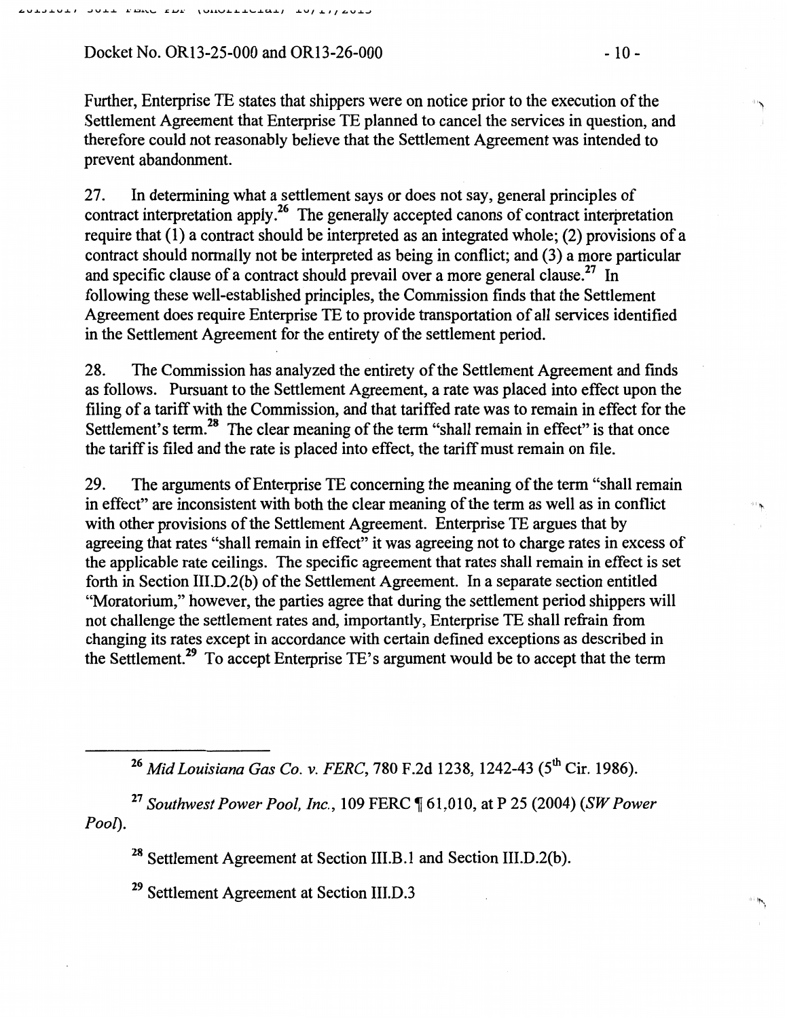Docket No. OR13-25-000 and OR13-26-000  $-10$  -

Further, Enterprise TE states that shippers were on notice prior to the execution of the Settlement Agreement that Enterprise TE planned to cancel the services in question, and therefore could not reasonably believe that the Settlement Agreement was intended to prevent abandonment.

27. In determining what a settlement says or does not say, general principles of contract interpretation apply.<sup>26</sup> The generally accepted canons of contract interpretation require that (1) a contract should be interpreted as an integrated whole; (2) provisions of a contract should normally not be interpreted as being in conflict; and (3) a more particular and specific clause of a contract should prevail over a more general clause.<sup>27</sup> In following these well-established principles, the Commission finds that the Settlement Agreement does require Enterprise TE to provide transportation of all services identified in the Settlement Agreement for the entirety of the settlement period.

28. The Commission has analyzed the entirety of the Settlement Agreement and finds as follows. Pursuant to the Settlement Agreement, a rate was placed into effect upon the filing of a tariff with the Commission, and that tariffed rate was to remain in effect for the Settlement's term.<sup>28</sup> The clear meaning of the term "shall remain in effect" is that once the tariff is filed and the rate is placed into effect, the tariff must remain on file.

29. The arguments of Enterprise TE concerning the meaning of the term "shall remain in effect" are inconsistent with both the clear meaning of the term as well as in conflict with other provisions of the Settlement Agreement. Enterprise TE argues that by agreeing that rates "shall remain in effect" it was agreeing not to charge rates in excess of the applicable rate ceilings. The specific agreement that rates shall remain in effect is set forth in Section III.D.2(b) of the Settlement Agreement. In a separate section entitled "Moratorium," however, the parties agree that during the settlement period shippers will not challenge the settlement rates and, importantly, Enterprise TE shall refrain from changing its rates except in accordance with certain defmed exceptions as described in the Settlement.29 To accept Enterprise TE's argument would be to accept that the term

<sup>26</sup> Mid Louisiana Gas Co. v. FERC, 780 F.2d 1238, 1242-43 (5<sup>th</sup> Cir. 1986).

<sup>27</sup>*Southwest Power Pool, Inc.,* 109 FERC ~ 61,010, at P 25 (2004) (SW *Power Pool).* 

<sup>28</sup> Settlement Agreement at Section III.B.1 and Section III.D.2(b).

29 Settlement Agreement at Section III.D.3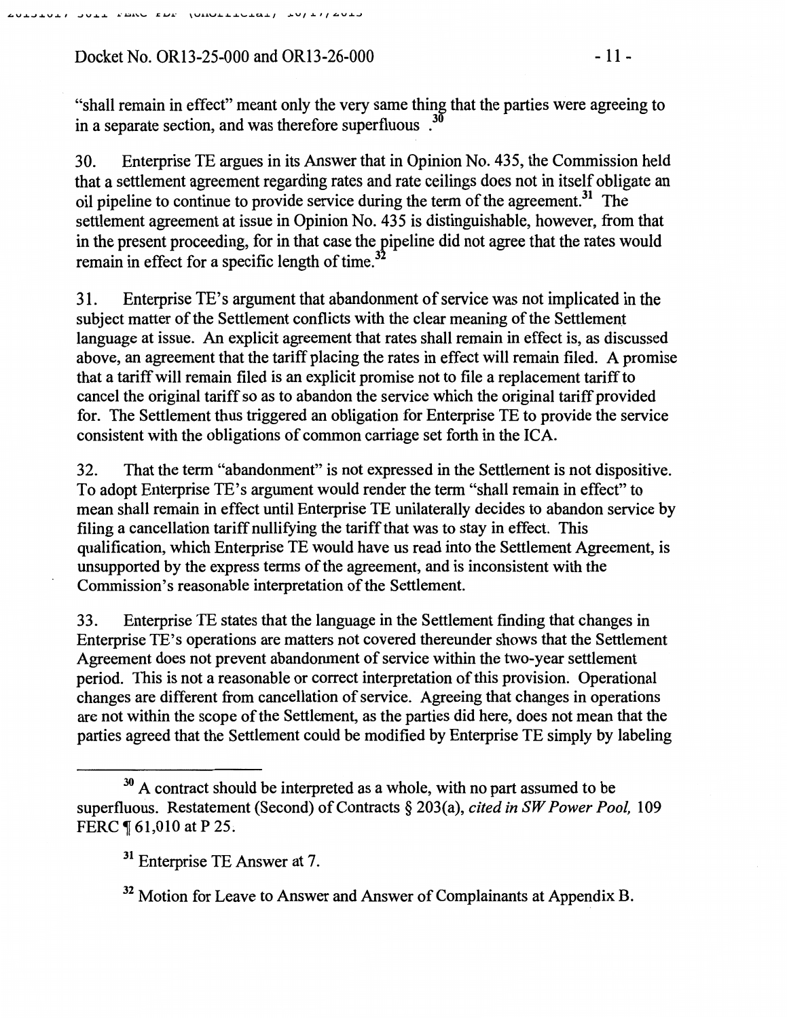Docket No. OR13-25-000 and OR13-26-000 - 11 -

"shall remain in effect" meant only the very same thing that the parties were agreeing to in a separate section, and was therefore superfluous.<sup>30</sup>

30. Enterprise TE argues in its Answer that in Opinion No. 435, the Commission held that a settlement agreement regarding rates and rate ceilings does not in itself obligate an oil pipeline to continue to provide service during the term of the agreement.<sup>31</sup> The settlement agreement at issue in Opinion No. 435 is distinguishable, however, from that in the present proceeding, for in that case the pipeline did not agree that the rates would remain in effect for a specific length of time. $3<sup>3</sup>$ 

31. Enterprise TE's argument that abandonment of service was not implicated in the subject matter of the Settlement conflicts with the clear meaning of the Settlement language at issue. An explicit agreement that rates shall remain in effect is, as discussed above, an agreement that the tariff placing the rates in effect will remain filed. A promise that a tariff will remain filed is an explicit promise not to file a replacement tariff to cancel the original tariff so as to abandon the service which the original tariff provided for. The Settlement thus triggered an obligation for Enterprise TE to provide the service consistent with the obligations of common carriage set forth in the ICA.

32. That the term "abandonment" is not expressed in the Settlement is not dispositive. To adopt Enterprise TE's argument would render the term "shall remain in effect" to mean shall remain in effect until Enterprise TE unilaterally decides to abandon service by filing a cancellation tariff nullifying the tariff that was to stay in effect. This qualification, which Enterprise TE would have us read into the Settlement Agreement, is unsupported by the express terms of the agreement, and is inconsistent with the Commission's reasonable interpretation of the Settlement.

33. Enterprise TE states that the language in the Settlement finding that changes in Enterprise TE's operations are matters not covered thereunder shows that the Settlement Agreement does not prevent abandonment of service within the two-year settlement period. This is not a reasonable or correct interpretation of this provision. Operational changes are different from cancellation of service. Agreeing that changes in operations are not within the scope of the Settlement, as the parties did here, does not mean that the parties agreed that the Settlement could be modified by Enterprise TE simply by labeling

 $30$  A contract should be interpreted as a whole, with no part assumed to be superfluous. Restatement (Second) of Contracts§ 203(a), *cited in SW Power Pool,* 109 FERC  $\P$  61,010 at P 25.

<sup>&</sup>lt;sup>31</sup> Enterprise TE Answer at 7.

 $32$  Motion for Leave to Answer and Answer of Complainants at Appendix B.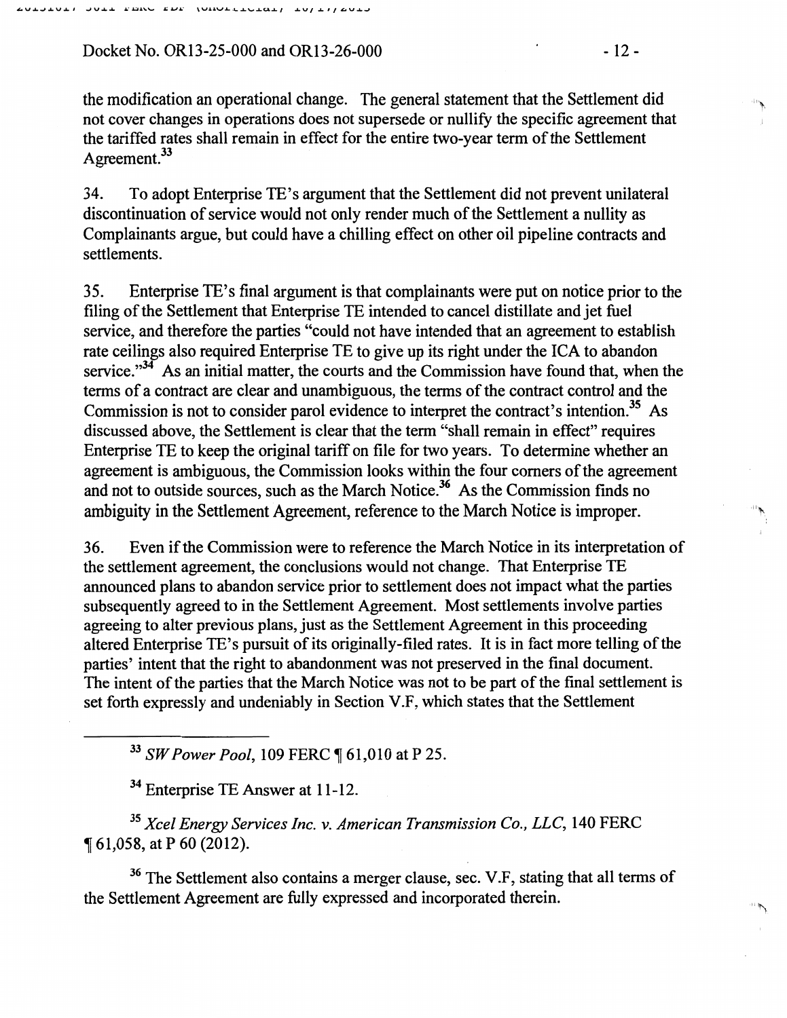Docket No. OR13-25-000 and OR13-26-000 - 12 - 12 -

the modification an operational change. The general statement that the Settlement did not cover changes in operations does not supersede or nullify the specific agreement that the tariffed rates shall remain in effect for the entire two-year term of the Settlement Agreement.<sup>33</sup>

34. To adopt Enterprise TE's argument that the Settlement did not prevent unilateral discontinuation of service would not only render much of the Settlement a nullity as Complainants argue, but could have a chilling effect on other oil pipeline contracts and settlements.

35. Enterprise TE's final argument is that complainants were put on notice prior to the filing of the Settlement that Enterprise TE intended to cancel distillate and jet fuel service, and therefore the parties "could not have intended that an agreement to establish rate ceilings also required Enterprise TE to give up its right under the ICA to abandon service." $34$ <sup>T</sup> As an initial matter, the courts and the Commission have found that, when the terms of a contract are clear and unambiguous, the terms of the contract control and the Commission is not to consider parol evidence to interpret the contract's intention.<sup>35</sup> As discussed above, the Settlement is clear that the term "shall remain in effect" requires Enterprise TE to keep the original tariff on file for two years. To determine whether an agreement is ambiguous, the Commission looks within the four comers of the agreement and not to outside sources, such as the March Notice.<sup>36</sup> As the Commission finds no ambiguity in the Settlement Agreement, reference to the March Notice is improper.

36. Even if the Commission were to reference the March Notice in its interpretation of the settlement agreement, the conclusions would not change. That Enterprise TE announced plans to abandon service prior to settlement does not impact what the parties subsequently agreed to in the Settlement Agreement. Most settlements involve parties agreeing to alter previous plans, just as the Settlement Agreement in this proceeding altered Enterprise TE's pursuit of its originally-filed rates. It is in fact more telling of the parties' intent that the right to abandonment was not preserved in the final document. The intent of the parties that the March Notice was not to be part of the final settlement is set forth expressly and undeniably in Section V.F, which states that the Settlement

<sup>33</sup> SW Power Pool, 109 FERC ¶ 61,010 at P 25.

<sup>34</sup> Enterprise TE Answer at 11-12.

<sup>35</sup>*Xcel Energy Services Inc.* v. *American Transmission Co., LLC,* 140 FERC <sup>~</sup>61,058, at P 60 (2012).

<sup>36</sup> The Settlement also contains a merger clause, sec. V.F, stating that all terms of the Settlement Agreement are fully expressed and incorporated therein.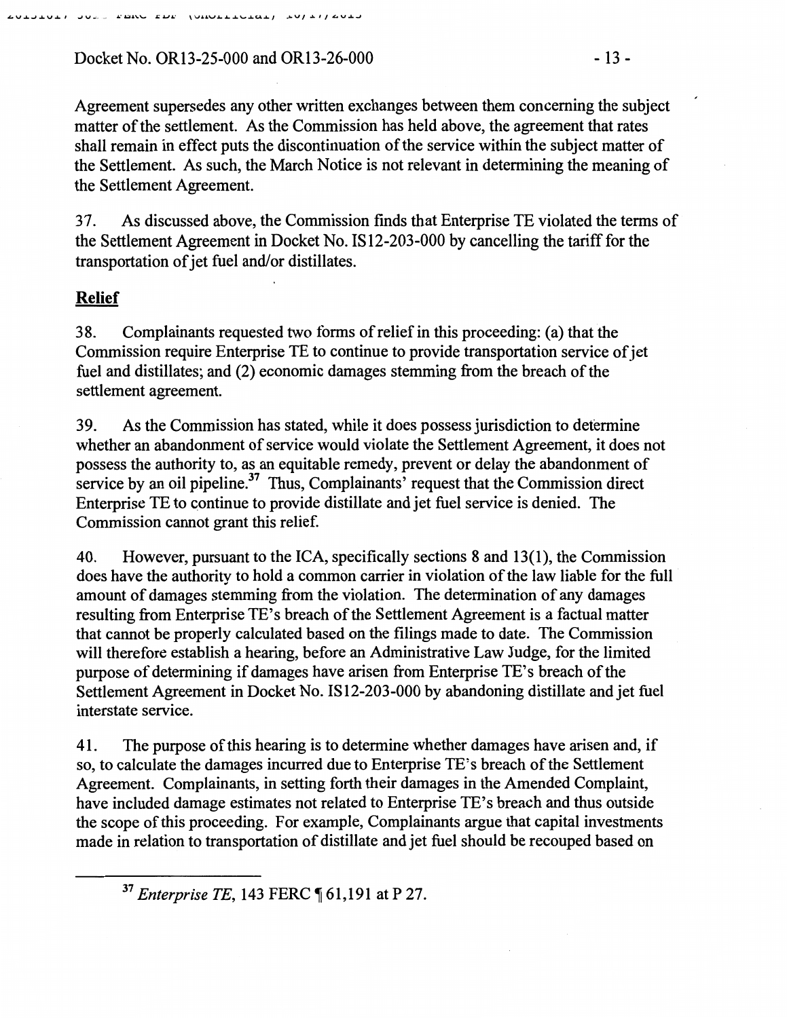Docket No. OR13-25-000 and OR13-26-000 - 13 -

Agreement supersedes any other written exchanges between them concerning the subject matter of the settlement. As the Commission has held above, the agreement that rates shall remain in effect puts the discontinuation of the service within the subject matter of the Settlement. As such, the March Notice is not relevant in determining the meaning of the Settlement Agreement.

3 7. As discussed above, the Commission finds that Enterprise TE violated the terms of the Settlement Agreement in Docket No. IS 12-203-000 by cancelling the tariff for the transportation of jet fuel and/or distillates.

# **Relief**

38. Complainants requested two forms of relief in this proceeding: (a) that the Commission require Enterprise TE to continue to provide transportation service of jet fuel and distillates; and (2) economic damages stemming from the breach of the settlement agreement.

39. As the Commission has stated, while it does possess jurisdiction to determine whether an abandonment of service would violate the Settlement Agreement, it does not possess the authority to, as an equitable remedy, prevent or delay the abandonment of service by an oil pipeline. $37$  Thus, Complainants' request that the Commission direct Enterprise TE to continue to provide distillate and jet fuel service is denied. The Commission cannot grant this relief.

40. However, pursuant to the ICA, specifically sections 8 and 13(1 ), the Commission does have the authority to hold a common carrier in violation of the law liable for the full amount of damages stemming from the violation. The determination of any damages resulting from Enterprise TE's breach of the Settlement Agreement is a factual matter that cannot be properly calculated based on the filings made to date. The Commission will therefore establish a hearing, before an Administrative Law Judge, for the limited purpose of determining if damages have arisen from Enterprise TE's breach of the Settlement Agreement in Docket No. IS12-203-000 by abandoning distillate and jet fuel interstate service.

41. The purpose of this hearing is to determine whether damages have arisen and, if so, to calculate the damages incurred due to Enterprise TE's breach of the Settlement Agreement. Complainants, in setting forth their damages in the Amended Complaint, have included damage estimates not related to Enterprise TE's breach and thus outside the scope of this proceeding. For example, Complainants argue that capital investments made in relation to transportation of distillate and jet fuel should be recouped based on

<sup>37</sup> Enterprise TE, 143 FERC ¶ 61,191 at P 27.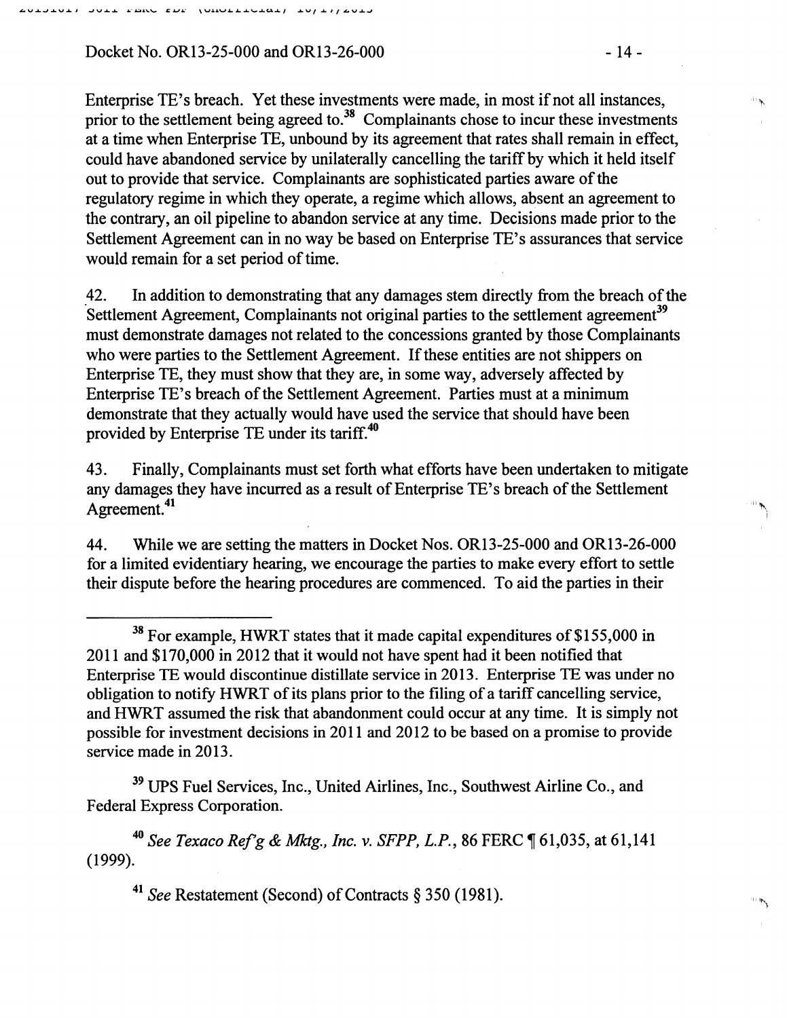Docket No. OR13-25-000 and OR13-26-000 **- 14 -** 14 -

Enterprise TE's breach. Yet these investments were made, in most if not all instances, prior to the settlement being agreed to.<sup>38</sup> Complainants chose to incur these investments at a time when Enterprise TE, unbound by its agreement that rates shall remain in effect, could have abandoned service by unilaterally cancelling the tariff by which it held itself out to provide that service. Complainants are sophisticated parties aware of the regulatory regime in which they operate, a regime which allows, absent an agreement to the contrary, an oil pipeline to abandon service at any time. Decisions made prior to the Settlement Agreement can in no way be based on Enterprise TE's assurances that service would remain for a set period of time.

42. In addition to demonstrating that any damages stem directly from the breach of the Settlement Agreement, Complainants not original parties to the settlement agreement<sup>39</sup> must demonstrate damages not related to the concessions granted by those Complainants who were parties to the Settlement Agreement. If these entities are not shippers on Enterprise TE, they must show that they are, in some way, adversely affected by Enterprise TE's breach of the Settlement Agreement. Parties must at a minimum demonstrate that they actually would have used the service that should have been provided by Enterprise TE under its tariff.<sup>40</sup>

43. Finally, Complainants must set forth what efforts have been undertaken to mitigate any damages they have incurred as a result of Enterprise TE's breach of the Settlement Agreement. 41

44. While we are setting the matters in Docket Nos. OR13-25-000 and OR13-26-000 for a limited evidentiary hearing, we encourage the parties to make every effort to settle their dispute before the hearing procedures are commenced. To aid the parties in their

<sup>39</sup> UPS Fuel Services, Inc., United Airlines, Inc., Southwest Airline Co., and Federal Express Corporation.

<sup>40</sup>*See Texaco Ref'g* & *Mktg., Inc.* v. *SFPP, L.P.,* 86 FERC ~ 61,035, at 61,141 (1999).

<sup>41</sup> See Restatement (Second) of Contracts § 350 (1981).

 $38$  For example, HWRT states that it made capital expenditures of \$155,000 in 2011 and \$170,000 in 2012 that it would not have spent had it been notified that Enterprise TE would discontinue distillate service in 2013. Enterprise TE was under no obligation to notify HWRT of its plans prior to the filing of a tariff cancelling service, and HWRT assumed the risk that abandonment could occur at any time. It is simply not possible for investment decisions in 2011 and 2012 to be based on a promise to provide service made in 2013.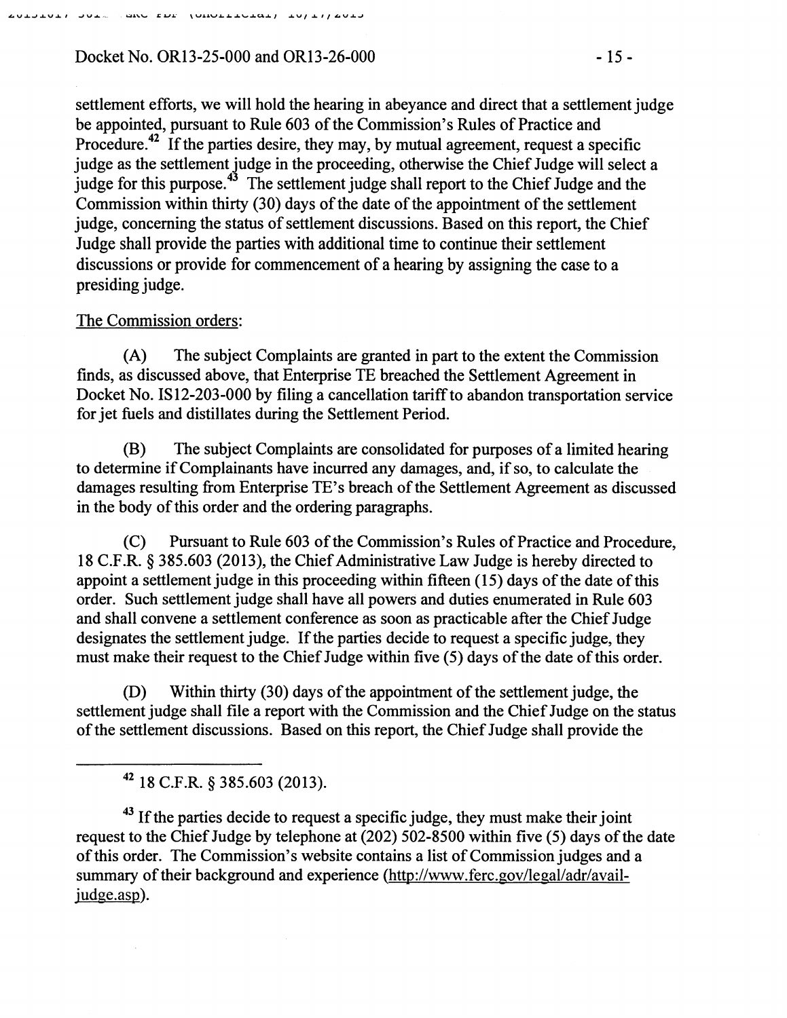### Docket No. OR13-25-000 and OR13-26-000 - 15 -

settlement efforts, we will hold the hearing in abeyance and direct that a settlement judge be appointed, pursuant to Rule 603 of the Commission's Rules of Practice and Procedure.<sup>42</sup> If the parties desire, they may, by mutual agreement, request a specific judge as the settlement judge in the proceeding, otherwise the Chief Judge will select a judge for this purpose.<sup>43</sup> The settlement judge shall report to the Chief Judge and the Commission within thirty (30) days of the date of the appointment of the settlement judge, concerning the status of settlement discussions. Based on this report, the Chief Judge shall provide the parties with additional time to continue their settlement discussions or provide for commencement of a hearing by assigning the case to a presiding judge.

#### The Commission orders:

(A) The subject Complaints are granted in part to the extent the Commission finds, as discussed above, that Enterprise TE breached the Settlement Agreement in Docket No. IS12-203-000 by filing a cancellation tariff to abandon transportation service for jet fuels and distillates during the Settlement Period.

(B) The subject Complaints are consolidated for purposes of a limited hearing to determine if Complainants have incurred any damages, and, if so, to calculate the damages resulting from Enterprise TE's breach of the Settlement Agreement as discussed in the body of this order and the ordering paragraphs.

(C) Pursuant to Rule 603 of the Commission's Rules of Practice and Procedure, 18 C.F.R. § 385.603 (2013), the Chief Administrative Law Judge is hereby directed to appoint a settlement judge in this proceeding within fifteen (15) days of the date of this order. Such settlement judge shall have all powers and duties enumerated in Rule 603 and shall convene a settlement conference as soon as practicable after the Chief Judge designates the settlement judge. If the parties decide to request a specific judge, they must make their request to the Chief Judge within five (5) days of the date of this order.

(D) Within thirty (30) days of the appointment of the settlement judge, the settlement judge shall file a report with the Commission and the Chief Judge on the status of the settlement discussions. Based on this report, the Chief Judge shall provide the

42 18 C.F.R. § 385.603 (2013).

 $43$  If the parties decide to request a specific judge, they must make their joint request to the Chief Judge by telephone at (202) 502-8500 within five (5) days of the date of this order. The Commission's website contains a list of Commission judges and a summary of their background and experience (http://www.ferc.gov/legal/adr/availjudge.asp).